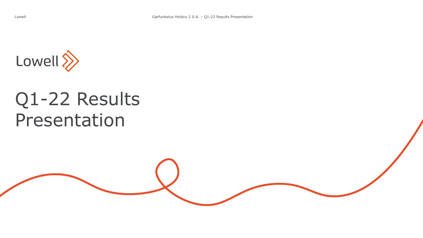

# Q1-22 Results Presentation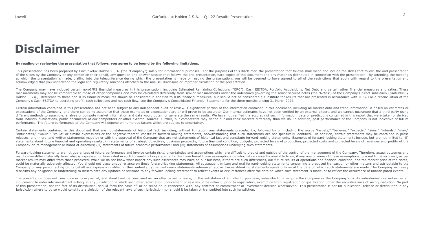# **Disclaimer**

#### By reading or reviewing the presentation that follows, you agree to be bound by the following limitations.

This presentation has been prepared by Garfunkelux Holdco 2 S.A. (the "Company") solely for informational purposes. For the purposes of this disclaimer, the presentation that follows shall mean and include the slides that of the slides by the Company or any person on their behalf, any question-and-answer session that follows the oral presentation, hard copies of this document and any materials distributed in connection with the presentation at which the presentation is made, dialling into the teleconference during which the presentation is made or reading the presentation, you will be deemed to have agreed to all of the restrictions that apply with regard to acknowledged that you understand the legal and regulatory sanctions attached to the misuse, disclosure or improper circulation of the presentation.

The Company may have included certain non-IFRS financial measures in this presentation, including Estimated Remaining Collections ("ERC"), Cash EBITDA, Portfolio Acquisitions, Net Debt and certain other financial measures measurements may not be comparable to those of other companies and may be calculated differently from similar measurements under the indentures governing the senior secured notes (the "Notes") of the Company's direct subsi Holdco 3 S.A.). Reference to these non-IFRS financial measures should be considered in addition to IFRS financial measures, but should not be considered a substitute for results that are presented in accordance with IFRS. Company's Cash EBITDA to operating profit, cash collections and net cash flow, see the Company's Consolidated Financial Statements for the three months ending 31 March 2022.

Certain information contained in this presentation has not been subject to any independent audit or review. A significant portion of the information contained in this document, including all market data and trend informati expectations of the Company, and there can be no assurance that these estimates or expectations are or will prove to be accurate. Our internal estimates have not been verified by an external expert, and we cannot quarantee different methods to assemble, analyse or compute market information and data would obtain or generate the same results. We have not verified the accuracy of such information, data or predictions contained in this report t from industry publications, public documents of our competitors or other external sources. Further, our competitors may define our and their markets differently than we do. In addition, past performance of the Company is n performance. The future performance of the Company will depend on numerous factors which are subject to uncertainty.

Certain statements contained in this document that are not statements of historical fact, including, without limitation, any statements preceded by, followed by or including the words "targets," "believes," "expects," "aim "anticipates," "would," "could" or similar expressions or the negative thereof, constitute forward-looking statements, notwithstanding that such statements are not specifically identified. In addition, certain statements m releases, and in oral and written statements made by or with the approval of the Company that are not statements of historical fact and constitute forward-looking statements. Examples of forward-looking statements include, statements about future financial and operating results; (ii) statements of strategic objectives, business prospects, future financial condition, budgets, projected levels of production, projected costs and projected level Company or its management or board of directors; (iii) statements of future economic performance; and (iv) statements of assumptions underlying such statements.

Forward-looking statements are not guarantees of future performance and involve certain risks, uncertainties and assumptions which are difficult to predict and outside of the control of the management of the Company. There results may differ materially from what is expressed or forecasted in such forward-looking statements. We have based these assumptions on information currently available to us, if any one or more of these assumptions turn market results may differ from those predicted. While we do not know what impact any such differences may have on our business, if there are such differences, our future results of operations and financial condition, and t could be materially adversely affected. You should not place undue reliance on these forward-looking statements. All subsequent written and oral forward-looking statements concerning a proposed transaction or other matters Company or any person acting on its behalf are expressly qualified in their entirety by the cautionary statements referenced above. Forward-looking statements speak only as of the date on which such statements are made. Th disclaims any obligation or undertaking to disseminate any updates or revisions to any forward-looking statement to reflect events or circumstances after the date on which such statement is made, or to reflect the occurren

The presentation does not constitute or form part of, and should not be construed as, an offer to sell or issue, or the solicitation of an offer to purchase, subscribe to or acquire the Company or the Company's (or its sub inducement to enter into investment activity in any jurisdiction in which such offer, solicitation, inducement or sale would be unlawful prior to registration, exemption from registration or qualification under the securit of this presentation, nor the fact of its distribution, should form the basis of, or be relied on in connection with, any contract or commitment or investment decision whatsoever. This presentation is not for publication, jurisdiction where to do so would constitute a violation of the relevant laws of such jurisdiction nor should it be taken or transmitted into such jurisdiction.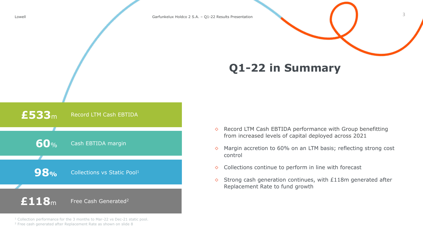# **Q1-22 in Summary**



<sup>1</sup> Collection performance for the 3 months to Mar-22 vs Dec-21 static pool.

<sup>2</sup> Free cash generated after Replacement Rate as shown on slide 8

- ◇ Record LTM Cash EBTIDA performance with Group benefitting from increased levels of capital deployed across 2021
- $\Diamond$  Margin accretion to 60% on an LTM basis; reflecting strong cost control

3

- $\Diamond$  Collections continue to perform in line with forecast
- $\Diamond$  Strong cash generation continues, with £118m generated after Replacement Rate to fund growth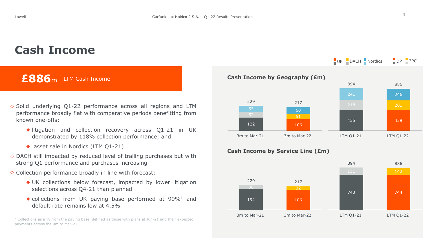# **Cash Income**

## **£886**<sup>m</sup> LTM Cash Income

- $\diamond$  Solid underlying Q1-22 performance across all regions and LTM performance broadly flat with comparative periods benefitting from known one-offs;
	- ◆ litigation and collection recovery across Q1-21 in UK demonstrated by 118% collection performance; and
	- ◆ asset sale in Nordics (LTM Q1-21)
- $\Diamond$  DACH still impacted by reduced level of trailing purchases but with strong Q1 performance and purchases increasing
- $\Diamond$  Collection performance broadly in line with forecast;
	- ◆ UK collections below forecast, impacted by lower litigation selections across Q4-21 than planned
	- $\bullet$  collections from UK paying base performed at 99%<sup>1</sup> and default rate remains low at 4.5%

 $1$  Collections as a % from the paying base, defined as those with plans at Jun-21 and their expected payments across the 9m to Mar-22



#### **Cash Income by Service Line (£m)**



UK DACH Nordics DP 3PC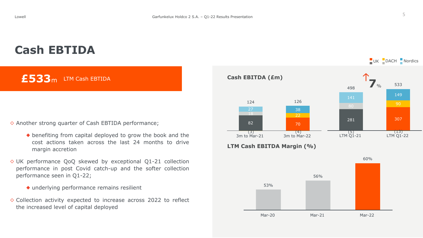# **Cash EBTIDA**

**£533**<sup>m</sup> LTM Cash EBTIDA

### ◇ Another strong quarter of Cash EBTIDA performance;

- ◆ benefiting from capital deployed to grow the book and the cost actions taken across the last 24 months to drive margin accretion
- $\diamond$  UK performance QoQ skewed by exceptional Q1-21 collection performance in post Covid catch-up and the softer collection performance seen in Q1-22;
	- ◆ underlying performance remains resilient
- $\Diamond$  Collection activity expected to increase across 2022 to reflect the increased level of capital deployed

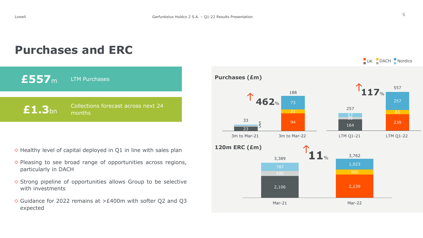$UV$  DACH Nordics

**£557**<sup>m</sup> LTM Purchases Collections forecast across next 24 **£1.3**bn months

 $\diamond$  Healthy level of capital deployed in Q1 in line with sales plan

**Purchases and ERC**

- $\diamond$  Pleasing to see broad range of opportunities across regions, particularly in DACH
- $\diamond$  Strong pipeline of opportunities allows Group to be selective with investments
- ◇ Guidance for 2022 remains at >£400m with softer Q2 and Q3 expected

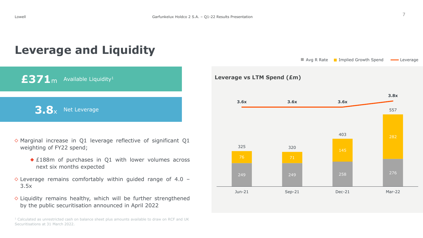$\blacksquare$  Avg R Rate  $\blacksquare$  Implied Growth Spend  $\blacksquare$  Leverage

# **Leverage and Liquidity**

 $£371<sub>m</sub>$  Available Liquidity<sup>1</sup> **3.8** Net Leverage

- $\diamond$  Marginal increase in Q1 leverage reflective of significant Q1 weighting of FY22 spend;
	- ◆ £188m of purchases in Q1 with lower volumes across next six months expected
- $\diamond$  Leverage remains comfortably within guided range of 4.0 -3.5x
- $\diamond$  Liquidity remains healthy, which will be further strengthened by the public securitisation announced in April 2022





 $<sup>1</sup>$  Calculated as unrestricted cash on balance sheet plus amounts available to draw on RCF and UK</sup> Securitisations at 31 March 2022.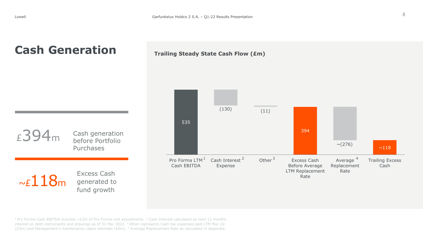# **Cash Generation**





<sup>1</sup> Pro Forma Cash EBITDA includes  $\sim$  £2m of Pro Forma cost adjustments. <sup>2</sup> Cash Interest calculated as next 12 months interest on debt instruments and drawings as of 31 Mar 2022. <sup>3</sup> Other represents Cash tax expenses paid LTM Mar-22 (£5m) and Management's maintenance capex estimate (£6m). <sup>4</sup> Average Replacement Rate as calculated in Appendix.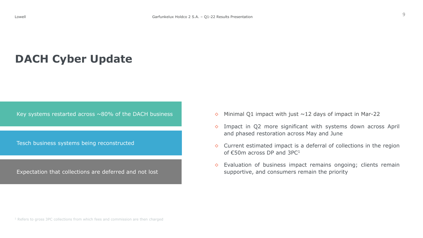# **DACH Cyber Update**

Key systems restarted across  $\sim$ 80% of the DACH business

Tesch business systems being reconstructed

Expectation that collections are deferred and not lost

- $\Diamond$  Minimal Q1 impact with just  $\sim$ 12 days of impact in Mar-22
- $\diamond$  Impact in Q2 more significant with systems down across April and phased restoration across May and June
- $\Diamond$  Current estimated impact is a deferral of collections in the region of  $\epsilon$ 50m across DP and 3PC<sup>1</sup>
- $\Diamond$  Evaluation of business impact remains ongoing; clients remain supportive, and consumers remain the priority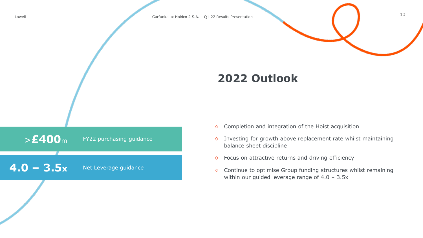

# **2022 Outlook**



- $\Diamond$  Completion and integration of the Hoist acquisition
- $\Diamond$  Investing for growth above replacement rate whilst maintaining balance sheet discipline
- $\Diamond$  Focus on attractive returns and driving efficiency
- ◇ Continue to optimise Group funding structures whilst remaining within our guided leverage range of 4.0 - 3.5x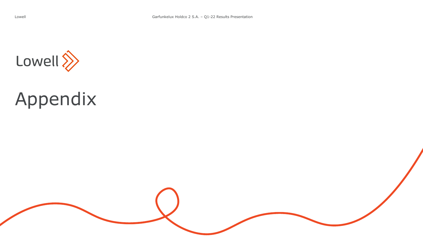

# Appendix

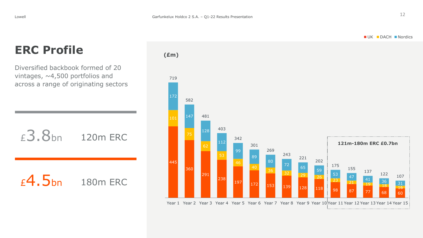# ERC Profile (*£m*)

Diversified backbook formed of 20 vintages,  $\sim$  4,500 portfolios and across a range of originating sectors



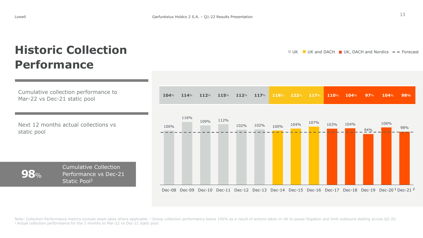# **Historic Collection Performance**

Cumulative collection performance to Mar-22 vs Dec-21 static pool

Next 12 months actual collections vs static pool

**98**%

Cumulative Collection Performance vs Dec-21 Static Pool<sup>2</sup>



**104**% **114**% **112**% **115**% **112**% **117**% **118**% **122**% **117**% **110**% **104**% **97**% **104**% **98%** 100% 116% 109% 112%  $102\%$  102%  $100\%$  104%  $\frac{107\%}{\phantom{000}}$  103% 104% 94% 106% 98%

Dec-08 Dec-09 Dec-10 Dec-11 Dec-12 Dec-13 Dec-14 Dec-15 Dec-16 Dec-17 Dec-18 Dec-19 Dec-20<sup>1</sup> Dec-21<sup>2</sup>

Note: Collection Performance metrics exclude asset sales where applicable. <sup>1</sup> Group collection performance below 100% as a result of actions taken in UK to pause litigation and limit outbound dialling across Q2-20. <sup>2</sup> Actual collection performance for the 3 months to Mar-22 vs Dec-21 static pool.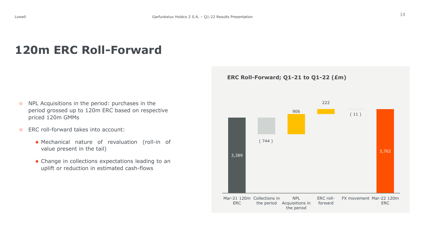# **120m ERC Roll-Forward**

- $\Diamond$  NPL Acquisitions in the period: purchases in the period grossed up to 120m ERC based on respective priced 120m GMMs
- ◇ ERC roll-forward takes into account:
	- ◆ Mechanical nature of revaluation (roll-in of value present in the tail)
	- ◆ Change in collections expectations leading to an uplift or reduction in estimated cash-flows

#### **ERC Roll-Forward; Q1-21 to Q1-22 (£m)**

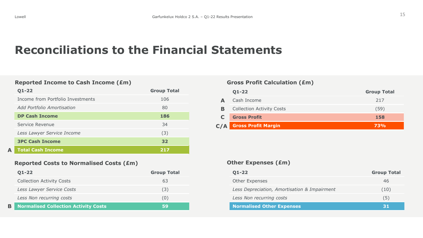**A**

# **Reconciliations to the Financial Statements**

#### **Reported Income to Cash Income (£m) Gross Profit Calculation (£m)**

| <b>O1-22</b>                      | <b>Group Total</b> |
|-----------------------------------|--------------------|
| Income from Portfolio Investments | 106                |
| Add Portfolio Amortisation        | 80                 |
| <b>DP Cash Income</b>             | 186                |
| Service Revenue                   | 34                 |
| Less Lawyer Service Income        | (3)                |
| <b>3PC Cash Income</b>            | 32                 |
| <b>Total Cash Income</b>          | 217                |

### **Reported Costs to Normalised Costs (£m)**

|   | $Q1 - 22$                                   | <b>Group Total</b> |
|---|---------------------------------------------|--------------------|
|   | <b>Collection Activity Costs</b>            | 63                 |
|   | Less Lawyer Service Costs                   | (3)                |
|   | Less Non recurring costs                    | U)                 |
| B | <b>Normalised Collection Activity Costs</b> | 59                 |

|     | $Q1 - 22$                        | <b>Group Total</b> |
|-----|----------------------------------|--------------------|
| А   | Cash Income                      | 217                |
| в   | <b>Collection Activity Costs</b> | (59)               |
|     | <b>Gross Profit</b>              | 158                |
| C/A | <b>Gross Profit Margin</b>       | 73%                |

#### **Other Expenses (£m)**

| $Q1 - 22$                                    | <b>Group Total</b> |
|----------------------------------------------|--------------------|
| Other Expenses                               | 46                 |
| Less Depreciation, Amortisation & Impairment | (10)               |
| Less Non recurring costs                     | (5)                |
| <b>Normalised Other Expenses</b>             | 31                 |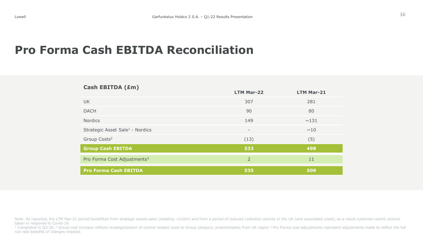# **Pro Forma Cash EBITDA Reconciliation**

| Cash EBITDA (£m)                            |                          |                   |
|---------------------------------------------|--------------------------|-------------------|
|                                             | <b>LTM Mar-22</b>        | <b>LTM Mar-21</b> |
| <b>UK</b>                                   | 307                      | 281               |
| <b>DACH</b>                                 | 90                       | 80                |
| <b>Nordics</b>                              | 149                      | ~131              |
| Strategic Asset Sale <sup>1</sup> - Nordics | $\overline{\phantom{a}}$ | ~10               |
| Group Costs <sup>2</sup>                    | (13)                     | (5)               |
| <b>Group Cash EBITDA</b>                    | 533                      | 498               |
| Pro Forma Cost Adjustments <sup>3</sup>     | $\overline{2}$           | 11                |
| <b>Pro Forma Cash EBITDA</b>                | 535                      | 509               |

Note: As reported, the LTM Mar-21 period benefitted from strategic assets sales (totalling  $~\sim$ £10m) and from a period of reduced collection activity in the UK (and associated costs), as a result customer centric actions taken in response to Covid-19.

<sup>1</sup> Completed in Q3-20.<sup>2</sup> Group cost increase reflects recategorization of central related costs to Group category, predominately from UK region <sup>3</sup> Pro Forma cost adjustments represent adjustments made to reflect the ful run rate benefits of changes enacted.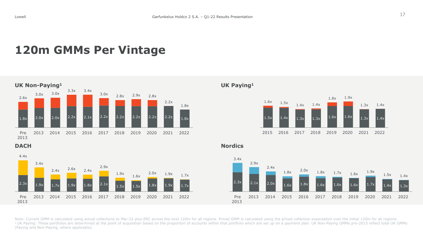# **120m GMMs Per Vintage**







**DACH Nordics**



Note: Current GMM is calculated using actual collections to Mar-22 plus ERC across the next 120m for all regions. Priced GMM is calculated using the priced collection expectation over the initial 120m for all regions. <sup>1</sup> UK Paying: These portfolios are determined at the point of acquisition based on the proportion of accounts within that portfolio which are set up on a payment plan. UK Non-Paying GMMs pre-2015 reflect total UK GMMs (Paying and Non-Paying, where applicable).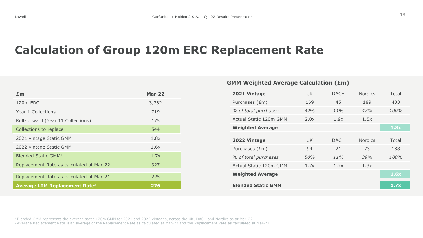# **Calculation of Group 120m ERC Replacement Rate**

| £m                                              | <b>Mar-22</b> |
|-------------------------------------------------|---------------|
| 120m ERC                                        | 3,762         |
| Year 1 Collections                              | 719           |
| Roll-forward (Year 11 Collections)              | 175           |
| Collections to replace                          | 544           |
| 2021 vintage Static GMM                         | 1.8x          |
| 2022 vintage Static GMM                         | 1.6x          |
| <b>Blended Static GMM1</b>                      | 1.7x          |
| Replacement Rate as calculated at Mar-22        | 327           |
|                                                 |               |
| Replacement Rate as calculated at Mar-21        | 225           |
| <b>Average LTM Replacement Rate<sup>2</sup></b> | 276           |

### **GMM Weighted Average Calculation (£m)**

| 2021 Vintage              | UK.  | <b>DACH</b> | <b>Nordics</b> | Total |  |
|---------------------------|------|-------------|----------------|-------|--|
| Purchases (£m)            | 169  | 45          | 189            | 403   |  |
| % of total purchases      | 42%  | 11%         | 47%            | 100%  |  |
| Actual Static 120m GMM    | 2.0x | 1.9x        | 1.5x           |       |  |
| <b>Weighted Average</b>   |      |             |                | 1.8x  |  |
|                           |      |             |                |       |  |
| 2022 Vintage              | UK.  | <b>DACH</b> | <b>Nordics</b> | Total |  |
| Purchases (£m)            | 94   | 21          | 73             | 188   |  |
| % of total purchases      | 50%  | 11%         | .39%           | 100%  |  |
| Actual Static 120m GMM    | 1.7x | 1.7x        | 1.3x           |       |  |
| <b>Weighted Average</b>   |      |             |                | 1.6x  |  |
|                           |      |             |                |       |  |
| <b>Blended Static GMM</b> |      |             |                | 1.7x  |  |
|                           |      |             |                |       |  |

<sup>1</sup>Blended GMM represents the average static 120m GMM for 2021 and 2022 vintages, across the UK, DACH and Nordics as at Mar-22.

<sup>2</sup>Average Replacement Rate is an average of the Replacement Rate as calculated at Mar-22 and the Replacement Rate as calculated at Mar-21*.*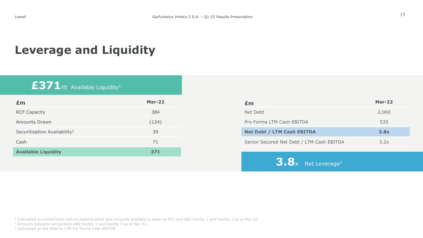# **Leverage and Liquidity**

# £371m Available Liquidity<sup>1</sup>

| Em                                       | <b>Mar-22</b> | £m         |
|------------------------------------------|---------------|------------|
| <b>RCF Capacity</b>                      | 384           | <b>Net</b> |
| <b>Amounts Drawn</b>                     | (124)         | Pro        |
| Securitisation Availability <sup>2</sup> | 39            | <b>Net</b> |
| Cash                                     | 71            | Seni       |
| <b>Available Liquidity</b>               | 371           |            |

| £m                                        | Mar- $22$ |
|-------------------------------------------|-----------|
| Net Debt                                  | 2,060     |
| Pro Forma LTM Cash EBITDA                 | 535       |
| <b>Net Debt / LTM Cash EBITDA</b>         | 3.8x      |
| Senior Secured Net Debt / LTM Cash EBITDA | 3.2x      |
|                                           |           |

**3.8**x Net Leverage<sup>3</sup>

<sup>1</sup> Calculated as unrestricted cash on balance sheet plus amounts available to draw on RCF and ABS Facility 1 and Facility 2 as at Mar-22.

<sup>2</sup> Amounts available across both ABS Facility 1 and Facility 2 as at Mar-22.

<sup>3</sup> Calculated as Net Debt to LTM Pro Forma Cash EBITDA.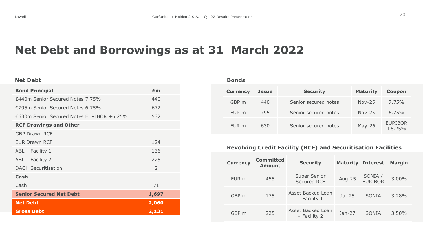# **Net Debt and Borrowings as at 31 March 2022**

#### **Net Debt**

| <b>Bond Principal</b>                     | £m            |
|-------------------------------------------|---------------|
| £440m Senior Secured Notes 7.75%          | 440           |
| €795m Senior Secured Notes 6.75%          | 672           |
| €630m Senior Secured Notes EURIBOR +6.25% | 532           |
| <b>RCF Drawings and Other</b>             |               |
| <b>GBP Drawn RCF</b>                      |               |
| <b>EUR Drawn RCF</b>                      | 124           |
| ABL - Facility 1                          | 136           |
| ABL - Facility 2                          | 225           |
| <b>DACH Securitisation</b>                | $\mathcal{P}$ |
| Cash                                      |               |
| Cash                                      | 71            |
| <b>Senior Secured Net Debt</b>            | 1,697         |
| <b>Net Debt</b>                           | 2,060         |
| <b>Gross Debt</b>                         | 2,131         |

**Bonds**

| <b>Currency</b> | <b>Issue</b> | <b>Security</b>      | <b>Maturity</b> | <b>Coupon</b>       |
|-----------------|--------------|----------------------|-----------------|---------------------|
| GBP m           | 440          | Senior secured notes | $Nov-25$        | 7.75%               |
| EUR m           | 795          | Senior secured notes | $Nov-25$        | $6.75\%$            |
| EUR m           | 630          | Senior secured notes | $May-26$        | EURIBOR<br>$+6.25%$ |

## **Revolving Credit Facility (RCF) and Securitisation Facilities**

| <b>Currency</b> | <b>Committed</b><br><b>Amount</b> | <b>Security</b>                            |          | <b>Maturity Interest</b> | <b>Margin</b> |
|-----------------|-----------------------------------|--------------------------------------------|----------|--------------------------|---------------|
| EUR m           | 455                               | <b>Super Senior</b><br><b>Secured RCF</b>  | Aug-25   | SONIA /<br>EURIBOR       | 3.00%         |
| GBP m           | 175                               | <b>Asset Backed Loan</b><br>$-$ Facility 1 | $Jul-25$ | <b>SONIA</b>             | 3.28%         |
| GBP m           | 225                               | Asset Backed Loan<br>- Facility 2          | $Jan-27$ | <b>SONIA</b>             | 3.50%         |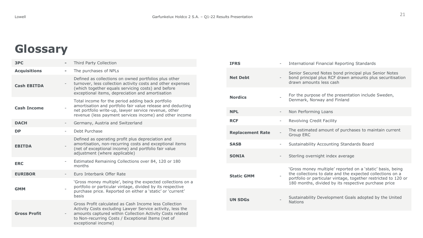# **Glossary**

| 3PC                 |                          | Third Party Collection                                                                                                                                                                                                                                         |
|---------------------|--------------------------|----------------------------------------------------------------------------------------------------------------------------------------------------------------------------------------------------------------------------------------------------------------|
| <b>Acquisitions</b> |                          | The purchases of NPLs                                                                                                                                                                                                                                          |
| <b>Cash EBITDA</b>  |                          | Defined as collections on owned portfolios plus other<br>turnover, less collection activity costs and other expenses<br>(which together equals servicing costs) and before<br>exceptional items, depreciation and amortisation                                 |
| <b>Cash Income</b>  |                          | Total income for the period adding back portfolio<br>amortisation and portfolio fair value release and deducting<br>net portfolio write-up, lawyer service revenue, other<br>revenue (less payment services income) and other income                           |
| <b>DACH</b>         |                          | Germany, Austria and Switzerland                                                                                                                                                                                                                               |
| <b>DP</b>           |                          | Debt Purchase                                                                                                                                                                                                                                                  |
| <b>EBITDA</b>       |                          | Defined as operating profit plus depreciation and<br>amortisation, non-recurring costs and exceptional items<br>(net of exceptional income) and portfolio fair value<br>adjustment (where applicable)                                                          |
| <b>ERC</b>          | $\overline{\phantom{0}}$ | Estimated Remaining Collections over 84, 120 or 180<br>months                                                                                                                                                                                                  |
| <b>EURIBOR</b>      |                          | Euro Interbank Offer Rate                                                                                                                                                                                                                                      |
| <b>GMM</b>          |                          | 'Gross money multiple', being the expected collections on a<br>portfolio or particular vintage, divided by its respective<br>purchase price. Reported on either a 'static' or 'current'<br>basis                                                               |
| <b>Gross Profit</b> |                          | Gross Profit calculated as Cash Income less Collection<br>Activity Costs excluding Lawyer Service activity, less the<br>amounts captured within Collection Activity Costs related<br>to Non-recurring Costs / Exceptional Items (net of<br>exceptional income) |

| <b>IFRS</b>             | $\overline{\phantom{a}}$ | International Financial Reporting Standards                                                                                                                                                                                                       |
|-------------------------|--------------------------|---------------------------------------------------------------------------------------------------------------------------------------------------------------------------------------------------------------------------------------------------|
| <b>Net Debt</b>         |                          | Senior Secured Notes bond principal plus Senior Notes<br>bond principal plus RCF drawn amounts plus securitisation<br>drawn amounts less cash                                                                                                     |
| <b>Nordics</b>          |                          | For the purpose of the presentation include Sweden,<br>Denmark, Norway and Finland                                                                                                                                                                |
| <b>NPL</b>              | $\overline{\phantom{a}}$ | Non Performing Loans                                                                                                                                                                                                                              |
| <b>RCF</b>              | $\overline{\phantom{a}}$ | Revolving Credit Facility                                                                                                                                                                                                                         |
| <b>Replacement Rate</b> |                          | The estimated amount of purchases to maintain current<br>Group ERC                                                                                                                                                                                |
| <b>SASB</b>             | $\overline{\phantom{a}}$ | Sustainability Accounting Standards Board                                                                                                                                                                                                         |
| <b>SONIA</b>            | $\overline{\phantom{0}}$ | Sterling overnight index average                                                                                                                                                                                                                  |
| <b>Static GMM</b>       |                          | 'Gross money multiple' reported on a 'static' basis, being<br>the collections to date and the expected collections on a<br>portfolio or particular vintage, together restricted to 120 or<br>180 months, divided by its respective purchase price |
| <b>UN SDGs</b>          |                          | Sustainability Development Goals adopted by the United<br><b>Nations</b>                                                                                                                                                                          |